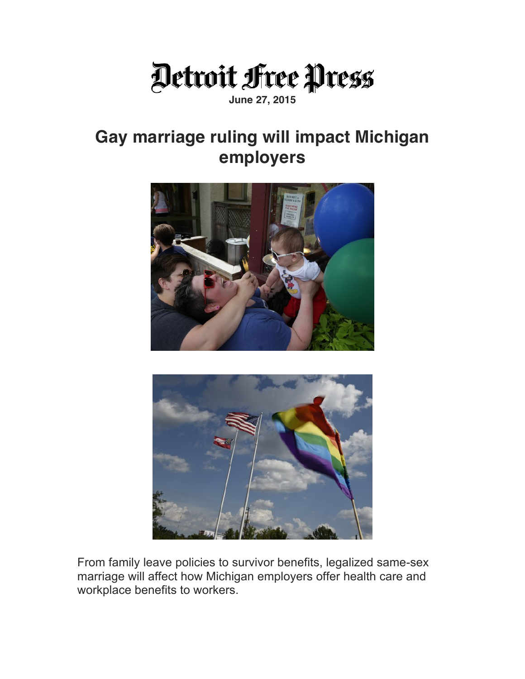

## **June 27, 2015**

## **Gay marriage ruling will impact Michigan employers**





From family leave policies to survivor benefits, legalized same-sex marriage will affect how Michigan employers offer health care and workplace benefits to workers.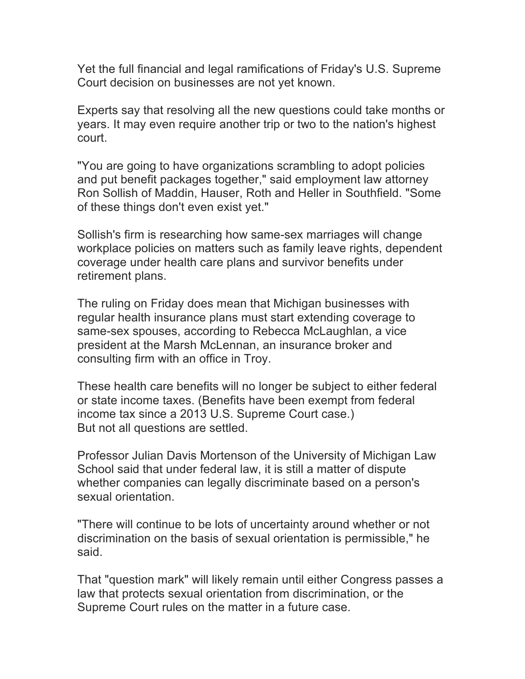Yet the full financial and legal ramifications of Friday's U.S. Supreme Court decision on businesses are not yet known.

Experts say that resolving all the new questions could take months or years. It may even require another trip or two to the nation's highest court.

"You are going to have organizations scrambling to adopt policies and put benefit packages together," said employment law attorney Ron Sollish of Maddin, Hauser, Roth and Heller in Southfield. "Some of these things don't even exist yet."

Sollish's firm is researching how same-sex marriages will change workplace policies on matters such as family leave rights, dependent coverage under health care plans and survivor benefits under retirement plans.

The ruling on Friday does mean that Michigan businesses with regular health insurance plans must start extending coverage to same-sex spouses, according to Rebecca McLaughlan, a vice president at the Marsh McLennan, an insurance broker and consulting firm with an office in Troy.

These health care benefits will no longer be subject to either federal or state income taxes. (Benefits have been exempt from federal income tax since a 2013 U.S. Supreme Court case.) But not all questions are settled.

Professor Julian Davis Mortenson of the University of Michigan Law School said that under federal law, it is still a matter of dispute whether companies can legally discriminate based on a person's sexual orientation.

"There will continue to be lots of uncertainty around whether or not discrimination on the basis of sexual orientation is permissible," he said.

That "question mark" will likely remain until either Congress passes a law that protects sexual orientation from discrimination, or the Supreme Court rules on the matter in a future case.